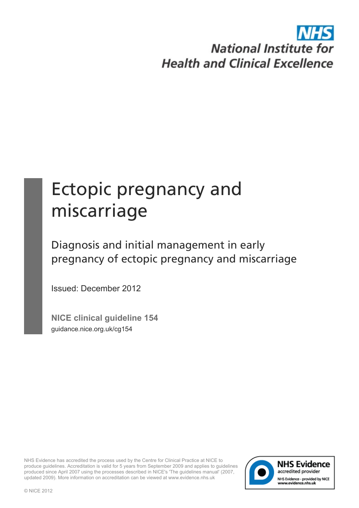# **National Institute for Health and Clinical Excellence**

# Ectopic pregnancy and miscarriage

Diagnosis and initial management in early pregnancy of ectopic pregnancy and miscarriage

Issued: December 2012

**NICE clinical guideline 154** guidance.nice.org.uk/cg154

NHS Evidence has accredited the process used by the Centre for Clinical Practice at NICE to produce guidelines. Accreditation is valid for 5 years from September 2009 and applies to guidelines produced since April 2007 using the processes described in NICE's 'The guidelines manual' (2007, updated 2009). More information on accreditation can be viewed at www.evidence.nhs.uk

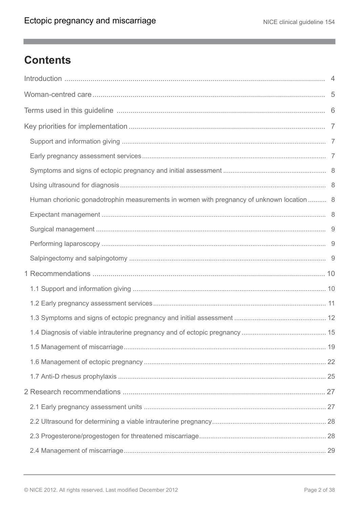$\mathbb{R}^n$ 

# **Contents**

| Human chorionic gonadotrophin measurements in women with pregnancy of unknown location  8 |  |
|-------------------------------------------------------------------------------------------|--|
|                                                                                           |  |
|                                                                                           |  |
|                                                                                           |  |
|                                                                                           |  |
|                                                                                           |  |
|                                                                                           |  |
|                                                                                           |  |
|                                                                                           |  |
|                                                                                           |  |
|                                                                                           |  |
|                                                                                           |  |
|                                                                                           |  |
|                                                                                           |  |
|                                                                                           |  |
|                                                                                           |  |
|                                                                                           |  |
|                                                                                           |  |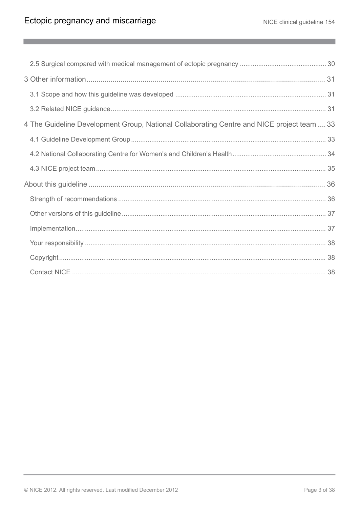$\mathbb{R}^n$ 

| 4 The Guideline Development Group, National Collaborating Centre and NICE project team  33 |  |
|--------------------------------------------------------------------------------------------|--|
|                                                                                            |  |
|                                                                                            |  |
|                                                                                            |  |
|                                                                                            |  |
|                                                                                            |  |
|                                                                                            |  |
|                                                                                            |  |
|                                                                                            |  |
|                                                                                            |  |
|                                                                                            |  |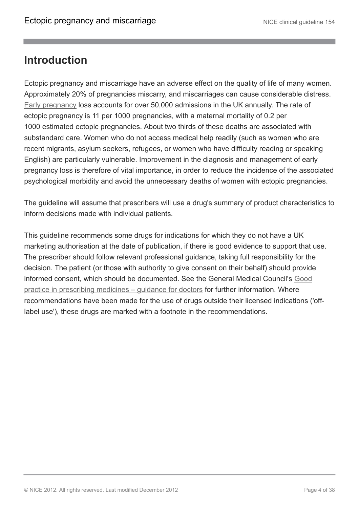### <span id="page-3-0"></span>**Introduction**

Ectopic pregnancy and miscarriage have an adverse effect on the quality of life of many women. Approximately 20% of pregnancies miscarry, and miscarriages can cause considerable distress. [Early pregnancy](http://publications.nice.org.uk/ectopic-pregnancy-and-miscarriage-cg154/terms-used-in-this-guideline) loss accounts for over 50,000 admissions in the UK annually. The rate of ectopic pregnancy is 11 per 1000 pregnancies, with a maternal mortality of 0.2 per 1000 estimated ectopic pregnancies. About two thirds of these deaths are associated with substandard care. Women who do not access medical help readily (such as women who are recent migrants, asylum seekers, refugees, or women who have difficulty reading or speaking English) are particularly vulnerable. Improvement in the diagnosis and management of early pregnancy loss is therefore of vital importance, in order to reduce the incidence of the associated psychological morbidity and avoid the unnecessary deaths of women with ectopic pregnancies.

The guideline will assume that prescribers will use a drug's summary of product characteristics to inform decisions made with individual patients*.*

This guideline recommends some drugs for indications for which they do not have a UK marketing authorisation at the date of publication, if there is good evidence to support that use. The prescriber should follow relevant professional guidance, taking full responsibility for the decision. The patient (or those with authority to give consent on their behalf) should provide informed consent, which should be documented. See the General Medical Council's [Good](http://www.gmc-uk.org/guidance/ethical_guidance/prescriptions_faqs.asp) [practice in prescribing medicines – guidance for doctors](http://www.gmc-uk.org/guidance/ethical_guidance/prescriptions_faqs.asp) for further information. Where recommendations have been made for the use of drugs outside their licensed indications ('offlabel use'), these drugs are marked with a footnote in the recommendations.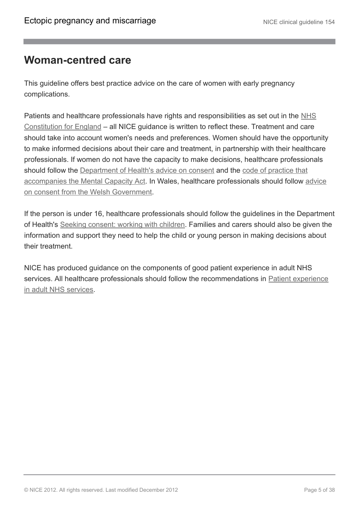### <span id="page-4-0"></span>**Woman-centred care**

This guideline offers best practice advice on the care of women with early pregnancy complications.

Patients and healthcare professionals have rights and responsibilities as set out in the [NHS](http://www.dh.gov.uk/en/DH_132961) [Constitution for England](http://www.dh.gov.uk/en/DH_132961) – all NICE guidance is written to reflect these. Treatment and care should take into account women's needs and preferences. Women should have the opportunity to make informed decisions about their care and treatment, in partnership with their healthcare professionals. If women do not have the capacity to make decisions, healthcare professionals should follow the [Department of Health's advice on consent](http://www.dh.gov.uk/en/DH_103643) and the [code of practice that](http://www.dh.gov.uk/en/Publicationsandstatistics/Publications/PublicationsPolicyAndGuidance/DH_085476) [accompanies the Mental Capacity Act.](http://www.dh.gov.uk/en/Publicationsandstatistics/Publications/PublicationsPolicyAndGuidance/DH_085476) In Wales, healthcare professionals should follow [advice](http://www.wales.nhs.uk/consent) [on consent from the Welsh Government.](http://www.wales.nhs.uk/consent)

If the person is under 16, healthcare professionals should follow the guidelines in the Department of Health's [Seeking consent: working with children](http://www.dh.gov.uk/en/Publicationsandstatistics/Publications/PublicationsPolicyAndGuidance/DH_4007005). Families and carers should also be given the information and support they need to help the child or young person in making decisions about their treatment.

NICE has produced guidance on the components of good patient experience in adult NHS services. All healthcare professionals should follow the recommendations in **[Patient experience](http://publications.nice.org.uk/patient-experience-in-adult-nhs-services-improving-the-experience-of-care-for-people-using-adult-cg138)** [in adult NHS services.](http://publications.nice.org.uk/patient-experience-in-adult-nhs-services-improving-the-experience-of-care-for-people-using-adult-cg138)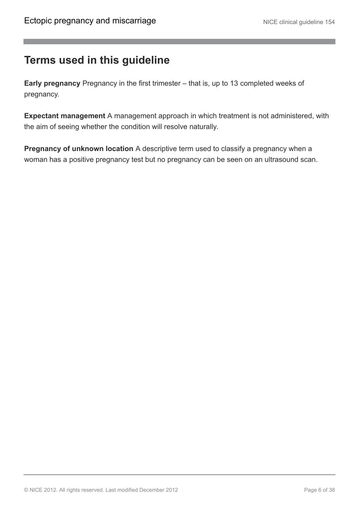### <span id="page-5-0"></span>**Terms used in this guideline**

**Early pregnancy** Pregnancy in the first trimester – that is, up to 13 completed weeks of pregnancy.

**Expectant management** A management approach in which treatment is not administered, with the aim of seeing whether the condition will resolve naturally.

**Pregnancy of unknown location** A descriptive term used to classify a pregnancy when a woman has a positive pregnancy test but no pregnancy can be seen on an ultrasound scan.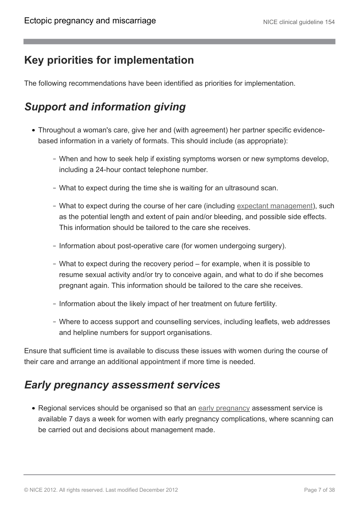## <span id="page-6-0"></span>**Key priorities for implementation**

The following recommendations have been identified as priorities for implementation.

# <span id="page-6-1"></span>*Support and information giving*

- Throughout a woman's care, give her and (with agreement) her partner specific evidencebased information in a variety of formats. This should include (as appropriate):
	- When and how to seek help if existing symptoms worsen or new symptoms develop, including a 24-hour contact telephone number.
	- What to expect during the time she is waiting for an ultrasound scan.
	- What to expect during the course of her care (including [expectant management](http://publications.nice.org.uk/ectopic-pregnancy-and-miscarriage-cg154/terms-used-in-this-guideline)), such as the potential length and extent of pain and/or bleeding, and possible side effects. This information should be tailored to the care she receives.
	- Information about post-operative care (for women undergoing surgery).
	- What to expect during the recovery period for example, when it is possible to resume sexual activity and/or try to conceive again, and what to do if she becomes pregnant again. This information should be tailored to the care she receives.
	- Information about the likely impact of her treatment on future fertility.
	- Where to access support and counselling services, including leaflets, web addresses and helpline numbers for support organisations.

Ensure that sufficient time is available to discuss these issues with women during the course of their care and arrange an additional appointment if more time is needed.

### <span id="page-6-2"></span>*Early pregnancy assessment services*

• Regional services should be organised so that an [early pregnancy](http://publications.nice.org.uk/ectopic-pregnancy-and-miscarriage-cg154/terms-used-in-this-guideline) assessment service is available 7 days a week for women with early pregnancy complications, where scanning can be carried out and decisions about management made.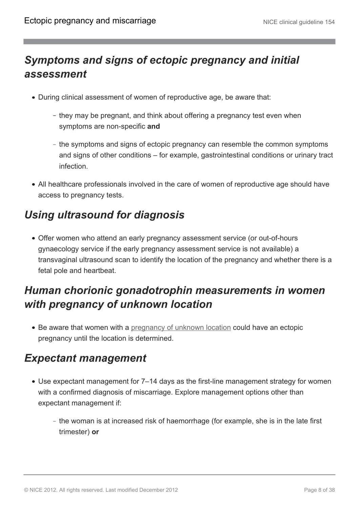# <span id="page-7-0"></span>*Symptoms and signs of ectopic pregnancy and initial assessment*

- During clinical assessment of women of reproductive age, be aware that:
	- they may be pregnant, and think about offering a pregnancy test even when symptoms are non-specific **and**
	- the symptoms and signs of ectopic pregnancy can resemble the common symptoms and signs of other conditions – for example, gastrointestinal conditions or urinary tract infection.
- All healthcare professionals involved in the care of women of reproductive age should have access to pregnancy tests.

# <span id="page-7-1"></span>*Using ultrasound for diagnosis*

Offer women who attend an early pregnancy assessment service (or out-of-hours gynaecology service if the early pregnancy assessment service is not available) a transvaginal ultrasound scan to identify the location of the pregnancy and whether there is a fetal pole and heartbeat.

# <span id="page-7-2"></span>*Human chorionic gonadotrophin measurements in women with pregnancy of unknown location*

• Be aware that women with a [pregnancy of unknown location](http://publications.nice.org.uk/ectopic-pregnancy-and-miscarriage-cg154/terms-used-in-this-guideline) could have an ectopic pregnancy until the location is determined.

### <span id="page-7-3"></span>*Expectant management*

- Use expectant management for 7–14 days as the first-line management strategy for women with a confirmed diagnosis of miscarriage. Explore management options other than expectant management if:
	- the woman is at increased risk of haemorrhage (for example, she is in the late first trimester) **or**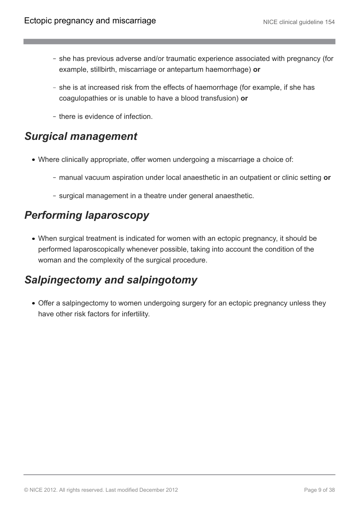- she has previous adverse and/or traumatic experience associated with pregnancy (for example, stillbirth, miscarriage or antepartum haemorrhage) **or**
- she is at increased risk from the effects of haemorrhage (for example, if she has coagulopathies or is unable to have a blood transfusion) **or**
- there is evidence of infection.

### <span id="page-8-0"></span>*Surgical management*

- Where clinically appropriate, offer women undergoing a miscarriage a choice of:
	- manual vacuum aspiration under local anaesthetic in an outpatient or clinic setting **or**
	- surgical management in a theatre under general anaesthetic.

### <span id="page-8-1"></span>*Performing laparoscopy*

When surgical treatment is indicated for women with an ectopic pregnancy, it should be performed laparoscopically whenever possible, taking into account the condition of the woman and the complexity of the surgical procedure.

### <span id="page-8-2"></span>*Salpingectomy and salpingotomy*

Offer a salpingectomy to women undergoing surgery for an ectopic pregnancy unless they have other risk factors for infertility.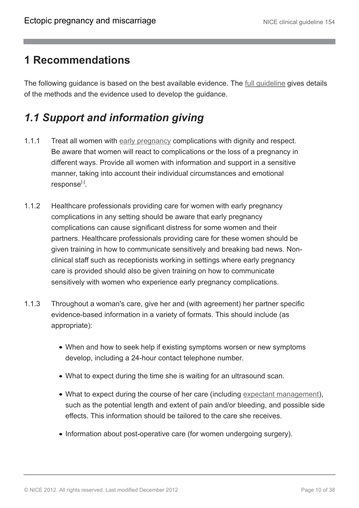### <span id="page-9-0"></span>**1 Recommendations**

The following guidance is based on the best available evidence. The [full guideline](http://guidance.nice.org.uk/CG154/Guidance/pdf/English) gives details of the methods and the evidence used to develop the guidance.

# <span id="page-9-1"></span>*1.1 Support and information giving*

- 1.1.1 Treat all women with [early pregnancy](http://publications.nice.org.uk/ectopic-pregnancy-and-miscarriage-cg154/terms-used-in-this-guideline) complications with dignity and respect. Be aware that women will react to complications or the loss of a pregnancy in different ways. Provide all women with information and support in a sensitive manner, taking into account their individual circumstances and emotional response<sup>[[1](#page-24-1)]</sup>.
- <span id="page-9-2"></span>1.1.2 Healthcare professionals providing care for women with early pregnancy complications in any setting should be aware that early pregnancy complications can cause significant distress for some women and their partners. Healthcare professionals providing care for these women should be given training in how to communicate sensitively and breaking bad news. Nonclinical staff such as receptionists working in settings where early pregnancy care is provided should also be given training on how to communicate sensitively with women who experience early pregnancy complications.
- 1.1.3 Throughout a woman's care, give her and (with agreement) her partner specific evidence-based information in a variety of formats. This should include (as appropriate):
	- When and how to seek help if existing symptoms worsen or new symptoms develop, including a 24-hour contact telephone number.
	- What to expect during the time she is waiting for an ultrasound scan.
	- What to expect during the course of her care (including [expectant management\)](http://publications.nice.org.uk/ectopic-pregnancy-and-miscarriage-cg154/terms-used-in-this-guideline), such as the potential length and extent of pain and/or bleeding, and possible side effects. This information should be tailored to the care she receives.
	- Information about post-operative care (for women undergoing surgery).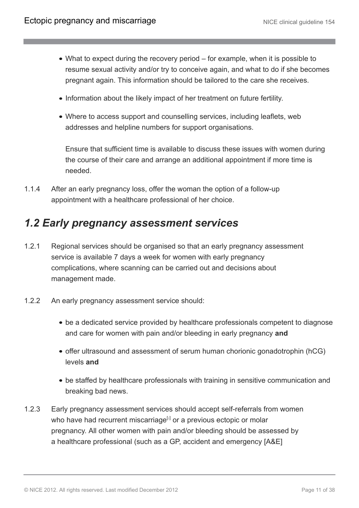- What to expect during the recovery period for example, when it is possible to resume sexual activity and/or try to conceive again, and what to do if she becomes pregnant again. This information should be tailored to the care she receives.
- Information about the likely impact of her treatment on future fertility.
- Where to access support and counselling services, including leaflets, web addresses and helpline numbers for support organisations.

Ensure that sufficient time is available to discuss these issues with women during the course of their care and arrange an additional appointment if more time is needed.

1.1.4 After an early pregnancy loss, offer the woman the option of a follow-up appointment with a healthcare professional of her choice.

### <span id="page-10-0"></span>*1.2 Early pregnancy assessment services*

- 1.2.1 Regional services should be organised so that an early pregnancy assessment service is available 7 days a week for women with early pregnancy complications, where scanning can be carried out and decisions about management made.
- 1.2.2 An early pregnancy assessment service should:
	- be a dedicated service provided by healthcare professionals competent to diagnose and care for women with pain and/or bleeding in early pregnancy **and**
	- offer ultrasound and assessment of serum human chorionic gonadotrophin (hCG) levels **and**
	- be staffed by healthcare professionals with training in sensitive communication and breaking bad news.
- <span id="page-10-1"></span>1.2.3 Early pregnancy assessment services should accept self-referrals from women who have had recurrent miscarriage<sup>[[2](#page-24-2)]</sup> or a previous ectopic or molar pregnancy. All other women with pain and/or bleeding should be assessed by a healthcare professional (such as a GP, accident and emergency [A&E]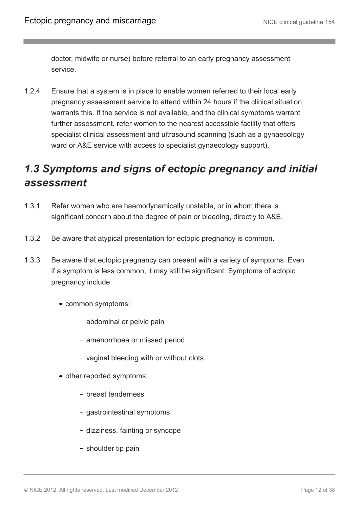doctor, midwife or nurse) before referral to an early pregnancy assessment service.

1.2.4 Ensure that a system is in place to enable women referred to their local early pregnancy assessment service to attend within 24 hours if the clinical situation warrants this. If the service is not available, and the clinical symptoms warrant further assessment, refer women to the nearest accessible facility that offers specialist clinical assessment and ultrasound scanning (such as a gynaecology ward or A&E service with access to specialist gynaecology support).

### <span id="page-11-0"></span>*1.3 Symptoms and signs of ectopic pregnancy and initial assessment*

- 1.3.1 Refer women who are haemodynamically unstable, or in whom there is significant concern about the degree of pain or bleeding, directly to A&E.
- 1.3.2 Be aware that atypical presentation for ectopic pregnancy is common.
- 1.3.3 Be aware that ectopic pregnancy can present with a variety of symptoms. Even if a symptom is less common, it may still be significant. Symptoms of ectopic pregnancy include:
	- common symptoms:
		- abdominal or pelvic pain
		- amenorrhoea or missed period
		- vaginal bleeding with or without clots
	- other reported symptoms:
		- breast tenderness
		- gastrointestinal symptoms
		- dizziness, fainting or syncope
		- shoulder tip pain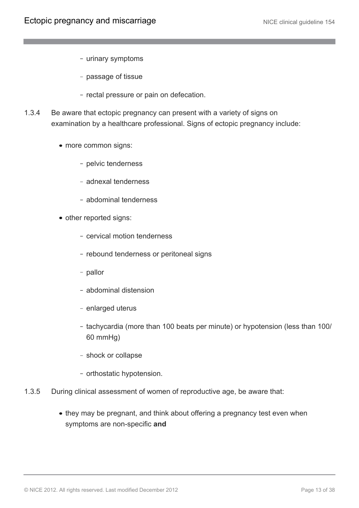- urinary symptoms
- passage of tissue
- rectal pressure or pain on defecation.
- 1.3.4 Be aware that ectopic pregnancy can present with a variety of signs on examination by a healthcare professional. Signs of ectopic pregnancy include:
	- more common signs:
		- pelvic tenderness
		- adnexal tenderness
		- abdominal tenderness
	- other reported signs:
		- cervical motion tenderness
		- rebound tenderness or peritoneal signs
		- pallor
		- abdominal distension
		- enlarged uterus
		- tachycardia (more than 100 beats per minute) or hypotension (less than 100/ 60 mmHg)
		- shock or collapse
		- orthostatic hypotension.
- 1.3.5 During clinical assessment of women of reproductive age, be aware that:
	- they may be pregnant, and think about offering a pregnancy test even when symptoms are non-specific **and**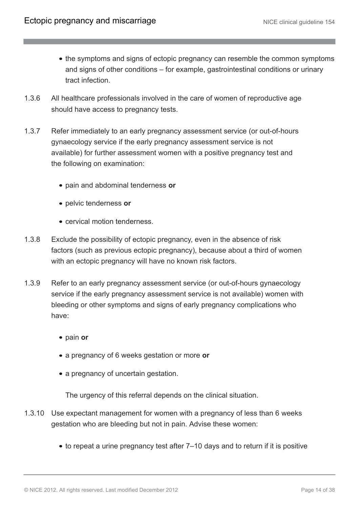- the symptoms and signs of ectopic pregnancy can resemble the common symptoms and signs of other conditions – for example, gastrointestinal conditions or urinary tract infection.
- 1.3.6 All healthcare professionals involved in the care of women of reproductive age should have access to pregnancy tests.
- 1.3.7 Refer immediately to an early pregnancy assessment service (or out-of-hours gynaecology service if the early pregnancy assessment service is not available) for further assessment women with a positive pregnancy test and the following on examination:
	- pain and abdominal tenderness **or**
	- pelvic tenderness **or**
	- cervical motion tenderness.
- 1.3.8 Exclude the possibility of ectopic pregnancy, even in the absence of risk factors (such as previous ectopic pregnancy), because about a third of women with an ectopic pregnancy will have no known risk factors.
- 1.3.9 Refer to an early pregnancy assessment service (or out-of-hours gynaecology service if the early pregnancy assessment service is not available) women with bleeding or other symptoms and signs of early pregnancy complications who have:
	- pain **or**
	- a pregnancy of 6 weeks gestation or more **or**
	- a pregnancy of uncertain gestation.

The urgency of this referral depends on the clinical situation.

- 1.3.10 Use expectant management for women with a pregnancy of less than 6 weeks gestation who are bleeding but not in pain. Advise these women:
	- to repeat a urine pregnancy test after 7–10 days and to return if it is positive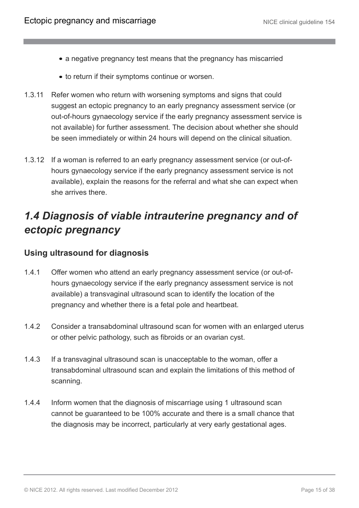- a negative pregnancy test means that the pregnancy has miscarried
- to return if their symptoms continue or worsen.
- 1.3.11 Refer women who return with worsening symptoms and signs that could suggest an ectopic pregnancy to an early pregnancy assessment service (or out-of-hours gynaecology service if the early pregnancy assessment service is not available) for further assessment. The decision about whether she should be seen immediately or within 24 hours will depend on the clinical situation.
- 1.3.12 If a woman is referred to an early pregnancy assessment service (or out-ofhours gynaecology service if the early pregnancy assessment service is not available), explain the reasons for the referral and what she can expect when she arrives there.

# <span id="page-14-0"></span>*1.4 Diagnosis of viable intrauterine pregnancy and of ectopic pregnancy*

#### **Using ultrasound for diagnosis**

- 1.4.1 Offer women who attend an early pregnancy assessment service (or out-ofhours gynaecology service if the early pregnancy assessment service is not available) a transvaginal ultrasound scan to identify the location of the pregnancy and whether there is a fetal pole and heartbeat.
- 1.4.2 Consider a transabdominal ultrasound scan for women with an enlarged uterus or other pelvic pathology, such as fibroids or an ovarian cyst.
- 1.4.3 If a transvaginal ultrasound scan is unacceptable to the woman, offer a transabdominal ultrasound scan and explain the limitations of this method of scanning.
- 1.4.4 Inform women that the diagnosis of miscarriage using 1 ultrasound scan cannot be guaranteed to be 100% accurate and there is a small chance that the diagnosis may be incorrect, particularly at very early gestational ages.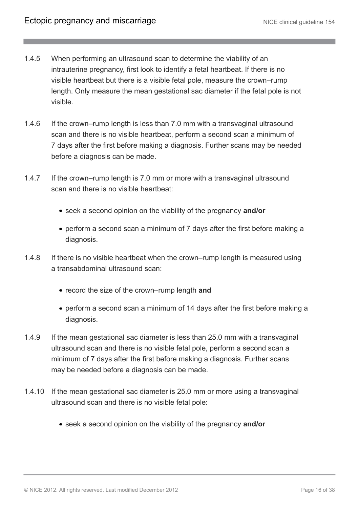- 1.4.5 When performing an ultrasound scan to determine the viability of an intrauterine pregnancy, first look to identify a fetal heartbeat. If there is no visible heartbeat but there is a visible fetal pole, measure the crown–rump length. Only measure the mean gestational sac diameter if the fetal pole is not visible.
- 1.4.6 If the crown–rump length is less than 7.0 mm with a transvaginal ultrasound scan and there is no visible heartbeat, perform a second scan a minimum of 7 days after the first before making a diagnosis. Further scans may be needed before a diagnosis can be made.
- 1.4.7 If the crown–rump length is 7.0 mm or more with a transvaginal ultrasound scan and there is no visible heartbeat:
	- seek a second opinion on the viability of the pregnancy **and/or**
	- perform a second scan a minimum of 7 days after the first before making a diagnosis.
- 1.4.8 If there is no visible heartbeat when the crown–rump length is measured using a transabdominal ultrasound scan:
	- record the size of the crown–rump length and
	- perform a second scan a minimum of 14 days after the first before making a diagnosis.
- 1.4.9 If the mean gestational sac diameter is less than 25.0 mm with a transvaginal ultrasound scan and there is no visible fetal pole, perform a second scan a minimum of 7 days after the first before making a diagnosis. Further scans may be needed before a diagnosis can be made.
- 1.4.10 If the mean gestational sac diameter is 25.0 mm or more using a transvaginal ultrasound scan and there is no visible fetal pole:
	- seek a second opinion on the viability of the pregnancy **and/or**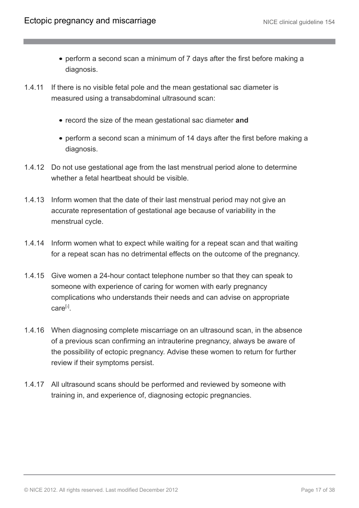- perform a second scan a minimum of 7 days after the first before making a diagnosis.
- 1.4.11 If there is no visible fetal pole and the mean gestational sac diameter is measured using a transabdominal ultrasound scan:
	- record the size of the mean gestational sac diameter **and**
	- perform a second scan a minimum of 14 days after the first before making a diagnosis.
- 1.4.12 Do not use gestational age from the last menstrual period alone to determine whether a fetal heartbeat should be visible.
- 1.4.13 Inform women that the date of their last menstrual period may not give an accurate representation of gestational age because of variability in the menstrual cycle.
- 1.4.14 Inform women what to expect while waiting for a repeat scan and that waiting for a repeat scan has no detrimental effects on the outcome of the pregnancy.
- 1.4.15 Give women a 24-hour contact telephone number so that they can speak to someone with experience of caring for women with early pregnancy complications who understands their needs and can advise on appropriate care<sup>[[3](#page-24-3)]</sup>.
- <span id="page-16-0"></span>1.4.16 When diagnosing complete miscarriage on an ultrasound scan, in the absence of a previous scan confirming an intrauterine pregnancy, always be aware of the possibility of ectopic pregnancy. Advise these women to return for further review if their symptoms persist.
- 1.4.17 All ultrasound scans should be performed and reviewed by someone with training in, and experience of, diagnosing ectopic pregnancies.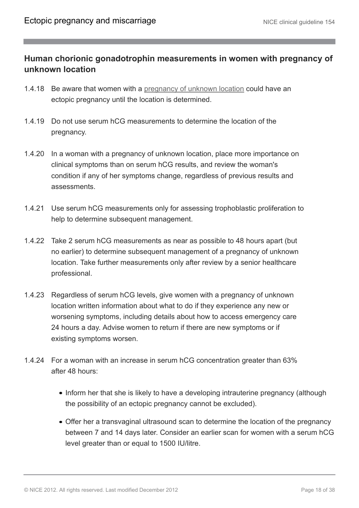#### **Human chorionic gonadotrophin measurements in women with pregnancy of unknown location**

- 1.4.18 Be aware that women with a [pregnancy of unknown location](http://publications.nice.org.uk/ectopic-pregnancy-and-miscarriage-cg154/terms-used-in-this-guideline) could have an ectopic pregnancy until the location is determined.
- 1.4.19 Do not use serum hCG measurements to determine the location of the pregnancy.
- 1.4.20 In a woman with a pregnancy of unknown location, place more importance on clinical symptoms than on serum hCG results, and review the woman's condition if any of her symptoms change, regardless of previous results and assessments.
- 1.4.21 Use serum hCG measurements only for assessing trophoblastic proliferation to help to determine subsequent management.
- 1.4.22 Take 2 serum hCG measurements as near as possible to 48 hours apart (but no earlier) to determine subsequent management of a pregnancy of unknown location. Take further measurements only after review by a senior healthcare professional.
- 1.4.23 Regardless of serum hCG levels, give women with a pregnancy of unknown location written information about what to do if they experience any new or worsening symptoms, including details about how to access emergency care 24 hours a day. Advise women to return if there are new symptoms or if existing symptoms worsen.
- 1.4.24 For a woman with an increase in serum hCG concentration greater than 63% after 48 hours:
	- Inform her that she is likely to have a developing intrauterine pregnancy (although the possibility of an ectopic pregnancy cannot be excluded).
	- Offer her a transvaginal ultrasound scan to determine the location of the pregnancy between 7 and 14 days later. Consider an earlier scan for women with a serum hCG level greater than or equal to 1500 IU/litre.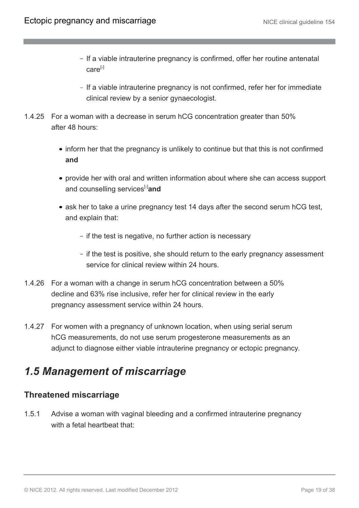- If a viable intrauterine pregnancy is confirmed, offer her routine antenatal care[[4](#page-24-4)]
- If a viable intrauterine pregnancy is not confirmed, refer her for immediate clinical review by a senior gynaecologist.
- <span id="page-18-1"></span>1.4.25 For a woman with a decrease in serum hCG concentration greater than 50% after 48 hours:
	- inform her that the pregnancy is unlikely to continue but that this is not confirmed **and**
	- provide her with oral and written information about where she can access support and counselling services<sup>[[3](#page-24-3)]</sup>and
	- ask her to take a urine pregnancy test 14 days after the second serum hCG test, and explain that:
		- if the test is negative, no further action is necessary
		- if the test is positive, she should return to the early pregnancy assessment service for clinical review within 24 hours.
- 1.4.26 For a woman with a change in serum hCG concentration between a 50% decline and 63% rise inclusive, refer her for clinical review in the early pregnancy assessment service within 24 hours.
- 1.4.27 For women with a pregnancy of unknown location, when using serial serum hCG measurements, do not use serum progesterone measurements as an adjunct to diagnose either viable intrauterine pregnancy or ectopic pregnancy.

# <span id="page-18-0"></span>*1.5 Management of miscarriage*

#### **Threatened miscarriage**

1.5.1 Advise a woman with vaginal bleeding and a confirmed intrauterine pregnancy with a fetal heartheat that: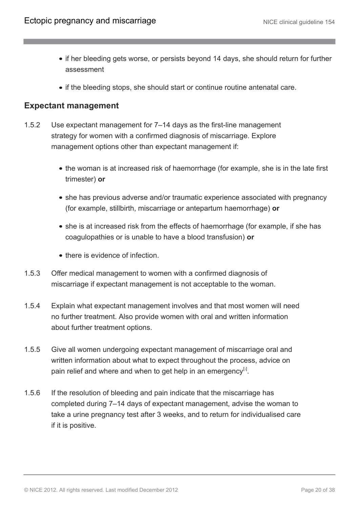- if her bleeding gets worse, or persists beyond 14 days, she should return for further assessment
- if the bleeding stops, she should start or continue routine antenatal care.

#### **Expectant management**

- 1.5.2 Use expectant management for 7–14 days as the first-line management strategy for women with a confirmed diagnosis of miscarriage. Explore management options other than expectant management if:
	- the woman is at increased risk of haemorrhage (for example, she is in the late first trimester) **or**
	- she has previous adverse and/or traumatic experience associated with pregnancy (for example, stillbirth, miscarriage or antepartum haemorrhage) **or**
	- she is at increased risk from the effects of haemorrhage (for example, if she has coagulopathies or is unable to have a blood transfusion) **or**
	- there is evidence of infection
- 1.5.3 Offer medical management to women with a confirmed diagnosis of miscarriage if expectant management is not acceptable to the woman.
- 1.5.4 Explain what expectant management involves and that most women will need no further treatment. Also provide women with oral and written information about further treatment options.
- 1.5.5 Give all women undergoing expectant management of miscarriage oral and written information about what to expect throughout the process, advice on pain relief and where and when to get help in an emergency $[3]$  $[3]$  $[3]$ .
- 1.5.6 If the resolution of bleeding and pain indicate that the miscarriage has completed during 7–14 days of expectant management, advise the woman to take a urine pregnancy test after 3 weeks, and to return for individualised care if it is positive.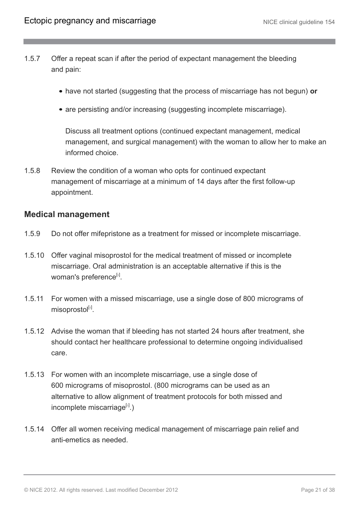- 1.5.7 Offer a repeat scan if after the period of expectant management the bleeding and pain:
	- have not started (suggesting that the process of miscarriage has not begun) **or**
	- are persisting and/or increasing (suggesting incomplete miscarriage).

Discuss all treatment options (continued expectant management, medical management, and surgical management) with the woman to allow her to make an informed choice.

1.5.8 Review the condition of a woman who opts for continued expectant management of miscarriage at a minimum of 14 days after the first follow-up appointment.

#### **Medical management**

- 1.5.9 Do not offer mifepristone as a treatment for missed or incomplete miscarriage.
- 1.5.10 Offer vaginal misoprostol for the medical treatment of missed or incomplete miscarriage. Oral administration is an acceptable alternative if this is the woman's preference<sup>[[5](#page-25-0)]</sup>.
- <span id="page-20-0"></span>1.5.11 For women with a missed miscarriage, use a single dose of 800 micrograms of misoprostol<sup>[[5](#page-25-0)]</sup>.
- 1.5.12 Advise the woman that if bleeding has not started 24 hours after treatment, she should contact her healthcare professional to determine ongoing individualised care.
- 1.5.13 For women with an incomplete miscarriage, use a single dose of 600 micrograms of misoprostol. (800 micrograms can be used as an alternative to allow alignment of treatment protocols for both missed and incomplete miscarriage<sup>[[5](#page-25-0)]</sup>.)
- 1.5.14 Offer all women receiving medical management of miscarriage pain relief and anti-emetics as needed.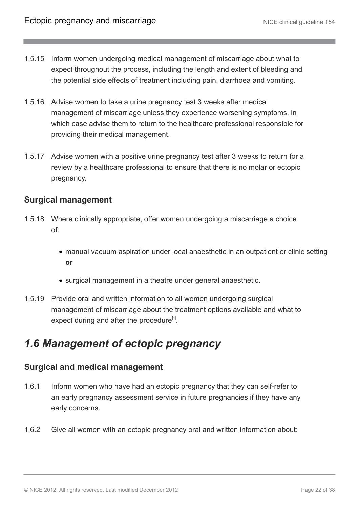- 1.5.15 Inform women undergoing medical management of miscarriage about what to expect throughout the process, including the length and extent of bleeding and the potential side effects of treatment including pain, diarrhoea and vomiting.
- 1.5.16 Advise women to take a urine pregnancy test 3 weeks after medical management of miscarriage unless they experience worsening symptoms, in which case advise them to return to the healthcare professional responsible for providing their medical management.
- 1.5.17 Advise women with a positive urine pregnancy test after 3 weeks to return for a review by a healthcare professional to ensure that there is no molar or ectopic pregnancy.

#### **Surgical management**

- 1.5.18 Where clinically appropriate, offer women undergoing a miscarriage a choice of:
	- manual vacuum aspiration under local anaesthetic in an outpatient or clinic setting **or**
	- surgical management in a theatre under general anaesthetic.
- 1.5.19 Provide oral and written information to all women undergoing surgical management of miscarriage about the treatment options available and what to expect during and after the procedure<sup>[[3](#page-24-3)]</sup>.

### <span id="page-21-0"></span>*1.6 Management of ectopic pregnancy*

#### **Surgical and medical management**

- 1.6.1 Inform women who have had an ectopic pregnancy that they can self-refer to an early pregnancy assessment service in future pregnancies if they have any early concerns.
- 1.6.2 Give all women with an ectopic pregnancy oral and written information about: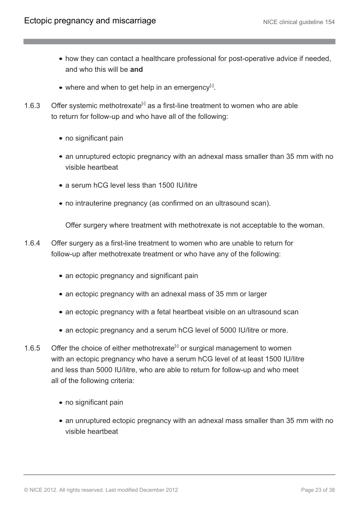- how they can contact a healthcare professional for post-operative advice if needed, and who this will be **and**
- where and when to get help in an emergency $[3]$  $[3]$  $[3]$ .
- <span id="page-22-0"></span>1.[6](#page-25-1).3 Offer systemic methotrexate<sup>[6]</sup> as a first-line treatment to women who are able to return for follow-up and who have all of the following:
	- no significant pain
	- an unruptured ectopic pregnancy with an adnexal mass smaller than 35 mm with no visible heartbeat
	- a serum hCG level less than 1500 IU/litre
	- no intrauterine pregnancy (as confirmed on an ultrasound scan).

Offer surgery where treatment with methotrexate is not acceptable to the woman.

- 1.6.4 Offer surgery as a first-line treatment to women who are unable to return for follow-up after methotrexate treatment or who have any of the following:
	- an ectopic pregnancy and significant pain
	- an ectopic pregnancy with an adnexal mass of 35 mm or larger
	- an ectopic pregnancy with a fetal heartbeat visible on an ultrasound scan
	- an ectopic pregnancy and a serum hCG level of 5000 IU/litre or more.
- 1.[6](#page-25-1).5 Offer the choice of either methotrexate<sup>[6]</sup> or surgical management to women with an ectopic pregnancy who have a serum hCG level of at least 1500 IU/litre and less than 5000 IU/litre, who are able to return for follow-up and who meet all of the following criteria:
	- no significant pain
	- an unruptured ectopic pregnancy with an adnexal mass smaller than 35 mm with no visible heartbeat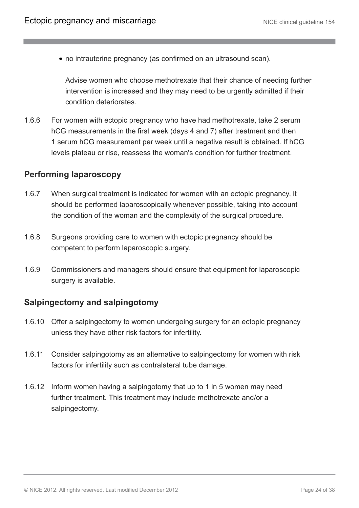no intrauterine pregnancy (as confirmed on an ultrasound scan).

Advise women who choose methotrexate that their chance of needing further intervention is increased and they may need to be urgently admitted if their condition deteriorates.

1.6.6 For women with ectopic pregnancy who have had methotrexate, take 2 serum hCG measurements in the first week (days 4 and 7) after treatment and then 1 serum hCG measurement per week until a negative result is obtained. If hCG levels plateau or rise, reassess the woman's condition for further treatment.

#### **Performing laparoscopy**

- 1.6.7 When surgical treatment is indicated for women with an ectopic pregnancy, it should be performed laparoscopically whenever possible, taking into account the condition of the woman and the complexity of the surgical procedure.
- 1.6.8 Surgeons providing care to women with ectopic pregnancy should be competent to perform laparoscopic surgery.
- 1.6.9 Commissioners and managers should ensure that equipment for laparoscopic surgery is available.

#### **Salpingectomy and salpingotomy**

- 1.6.10 Offer a salpingectomy to women undergoing surgery for an ectopic pregnancy unless they have other risk factors for infertility.
- 1.6.11 Consider salpingotomy as an alternative to salpingectomy for women with risk factors for infertility such as contralateral tube damage.
- 1.6.12 Inform women having a salpingotomy that up to 1 in 5 women may need further treatment. This treatment may include methotrexate and/or a salpingectomy.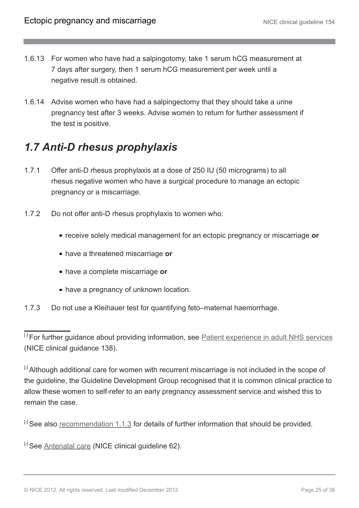- 1.6.13 For women who have had a salpingotomy, take 1 serum hCG measurement at 7 days after surgery, then 1 serum hCG measurement per week until a negative result is obtained.
- 1.6.14 Advise women who have had a salpingectomy that they should take a urine pregnancy test after 3 weeks. Advise women to return for further assessment if the test is positive.

# <span id="page-24-0"></span>*1.7 Anti-D rhesus prophylaxis*

- 1.7.1 Offer anti-D rhesus prophylaxis at a dose of 250 IU (50 micrograms) to all rhesus negative women who have a surgical procedure to manage an ectopic pregnancy or a miscarriage.
- 1.7.2 Do not offer anti-D rhesus prophylaxis to women who:
	- receive solely medical management for an ectopic pregnancy or miscarriage **or**
	- have a threatened miscarriage **or**
	- have a complete miscarriage **or**
	- have a pregnancy of unknown location.
- 1.7.3 Do not use a Kleihauer test for quantifying feto–maternal haemorrhage.

<span id="page-24-1"></span>[[1](#page-9-2)] For further guidance about providing information, see **Patient experience in adult NHS** services (NICE clinical guidance 138).

<span id="page-24-2"></span><sup>[[2](#page-10-1)]</sup> Although additional care for women with recurrent miscarriage is not included in the scope of the guideline, the Guideline Development Group recognised that it is common clinical practice to allow these women to self-refer to an early pregnancy assessment service and wished this to remain the case.

<span id="page-24-3"></span> $[3]$  $[3]$  $[3]$  See also [recommendation 1.1.3](http://publications.nice.org.uk/ectopic-pregnancy-and-miscarriage-cg154/recommendations) for details of further information that should be provided.

<span id="page-24-4"></span>[[4](#page-18-1)] See [Antenatal care](http://guidance.nice.org.uk/CG62) (NICE clinical quideline 62).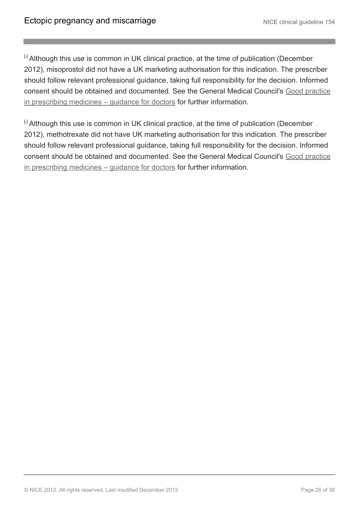<span id="page-25-0"></span>[6] Although this use is common in UK clinical practice, at the time of publication (December 2012), misoprostol did not have a UK marketing authorisation for this indication. The prescriber should follow relevant professional guidance, taking full responsibility for the decision. Informed consent should be obtained and documented. See the General Medical Council's [Good practice](http://www.gmc-uk.org/guidance/ethical_guidance/prescriptions_faqs.asp) [in prescribing medicines – guidance for doctors](http://www.gmc-uk.org/guidance/ethical_guidance/prescriptions_faqs.asp) for further information.

<span id="page-25-1"></span><sup>[[6](#page-22-0)]</sup> Although this use is common in UK clinical practice, at the time of publication (December 2012), methotrexate did not have UK marketing authorisation for this indication. The prescriber should follow relevant professional guidance, taking full responsibility for the decision. Informed consent should be obtained and documented. See the General Medical Council's [Good practice](http://www.gmc-uk.org/guidance/ethical_guidance/prescriptions_faqs.asp) [in prescribing medicines – guidance for doctors](http://www.gmc-uk.org/guidance/ethical_guidance/prescriptions_faqs.asp) for further information.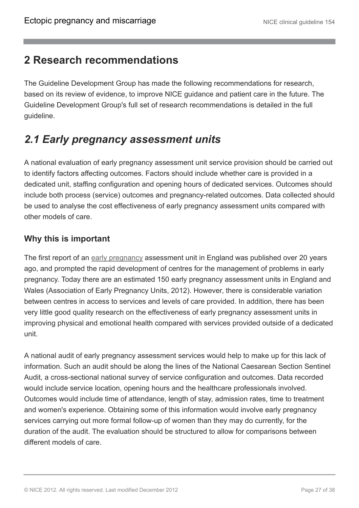### <span id="page-26-0"></span>**2 Research recommendations**

The Guideline Development Group has made the following recommendations for research, based on its review of evidence, to improve NICE guidance and patient care in the future. The Guideline Development Group's full set of research recommendations is detailed in the full guideline.

# <span id="page-26-1"></span>*2.1 Early pregnancy assessment units*

A national evaluation of early pregnancy assessment unit service provision should be carried out to identify factors affecting outcomes. Factors should include whether care is provided in a dedicated unit, staffing configuration and opening hours of dedicated services. Outcomes should include both process (service) outcomes and pregnancy-related outcomes. Data collected should be used to analyse the cost effectiveness of early pregnancy assessment units compared with other models of care.

### **Why this is important**

The first report of an [early pregnancy](http://publications.nice.org.uk/ectopic-pregnancy-and-miscarriage-cg154/terms-used-in-this-guideline) assessment unit in England was published over 20 years ago, and prompted the rapid development of centres for the management of problems in early pregnancy. Today there are an estimated 150 early pregnancy assessment units in England and Wales (Association of Early Pregnancy Units, 2012). However, there is considerable variation between centres in access to services and levels of care provided. In addition, there has been very little good quality research on the effectiveness of early pregnancy assessment units in improving physical and emotional health compared with services provided outside of a dedicated unit.

A national audit of early pregnancy assessment services would help to make up for this lack of information. Such an audit should be along the lines of the National Caesarean Section Sentinel Audit, a cross-sectional national survey of service configuration and outcomes. Data recorded would include service location, opening hours and the healthcare professionals involved. Outcomes would include time of attendance, length of stay, admission rates, time to treatment and women's experience. Obtaining some of this information would involve early pregnancy services carrying out more formal follow-up of women than they may do currently, for the duration of the audit. The evaluation should be structured to allow for comparisons between different models of care.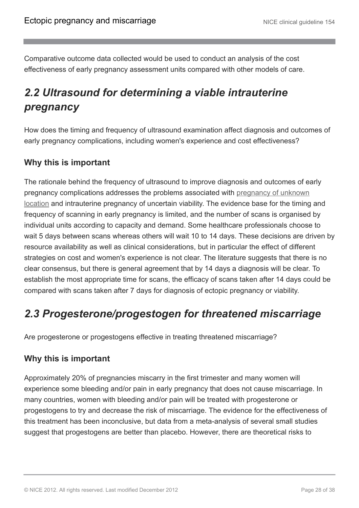Comparative outcome data collected would be used to conduct an analysis of the cost effectiveness of early pregnancy assessment units compared with other models of care.

# <span id="page-27-0"></span>*2.2 Ultrasound for determining a viable intrauterine pregnancy*

How does the timing and frequency of ultrasound examination affect diagnosis and outcomes of early pregnancy complications, including women's experience and cost effectiveness?

#### **Why this is important**

The rationale behind the frequency of ultrasound to improve diagnosis and outcomes of early pregnancy complications addresses the problems associated with [pregnancy of unknown](http://publications.nice.org.uk/ectopic-pregnancy-and-miscarriage-cg154/terms-used-in-this-guideline) [location](http://publications.nice.org.uk/ectopic-pregnancy-and-miscarriage-cg154/terms-used-in-this-guideline) and intrauterine pregnancy of uncertain viability. The evidence base for the timing and frequency of scanning in early pregnancy is limited, and the number of scans is organised by individual units according to capacity and demand. Some healthcare professionals choose to wait 5 days between scans whereas others will wait 10 to 14 days. These decisions are driven by resource availability as well as clinical considerations, but in particular the effect of different strategies on cost and women's experience is not clear. The literature suggests that there is no clear consensus, but there is general agreement that by 14 days a diagnosis will be clear. To establish the most appropriate time for scans, the efficacy of scans taken after 14 days could be compared with scans taken after 7 days for diagnosis of ectopic pregnancy or viability.

# <span id="page-27-1"></span>*2.3 Progesterone/progestogen for threatened miscarriage*

Are progesterone or progestogens effective in treating threatened miscarriage?

#### **Why this is important**

Approximately 20% of pregnancies miscarry in the first trimester and many women will experience some bleeding and/or pain in early pregnancy that does not cause miscarriage. In many countries, women with bleeding and/or pain will be treated with progesterone or progestogens to try and decrease the risk of miscarriage. The evidence for the effectiveness of this treatment has been inconclusive, but data from a meta-analysis of several small studies suggest that progestogens are better than placebo. However, there are theoretical risks to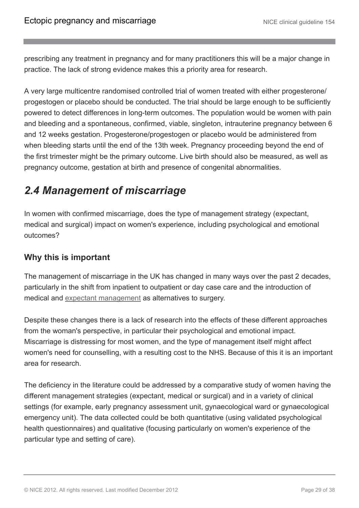prescribing any treatment in pregnancy and for many practitioners this will be a major change in practice. The lack of strong evidence makes this a priority area for research.

A very large multicentre randomised controlled trial of women treated with either progesterone/ progestogen or placebo should be conducted. The trial should be large enough to be sufficiently powered to detect differences in long-term outcomes. The population would be women with pain and bleeding and a spontaneous, confirmed, viable, singleton, intrauterine pregnancy between 6 and 12 weeks gestation. Progesterone/progestogen or placebo would be administered from when bleeding starts until the end of the 13th week. Pregnancy proceeding beyond the end of the first trimester might be the primary outcome. Live birth should also be measured, as well as pregnancy outcome, gestation at birth and presence of congenital abnormalities.

# <span id="page-28-0"></span>*2.4 Management of miscarriage*

In women with confirmed miscarriage, does the type of management strategy (expectant, medical and surgical) impact on women's experience, including psychological and emotional outcomes?

### **Why this is important**

The management of miscarriage in the UK has changed in many ways over the past 2 decades, particularly in the shift from inpatient to outpatient or day case care and the introduction of medical and [expectant management](http://publications.nice.org.uk/ectopic-pregnancy-and-miscarriage-cg154/terms-used-in-this-guideline) as alternatives to surgery.

Despite these changes there is a lack of research into the effects of these different approaches from the woman's perspective, in particular their psychological and emotional impact. Miscarriage is distressing for most women, and the type of management itself might affect women's need for counselling, with a resulting cost to the NHS. Because of this it is an important area for research.

The deficiency in the literature could be addressed by a comparative study of women having the different management strategies (expectant, medical or surgical) and in a variety of clinical settings (for example, early pregnancy assessment unit, gynaecological ward or gynaecological emergency unit). The data collected could be both quantitative (using validated psychological health questionnaires) and qualitative (focusing particularly on women's experience of the particular type and setting of care).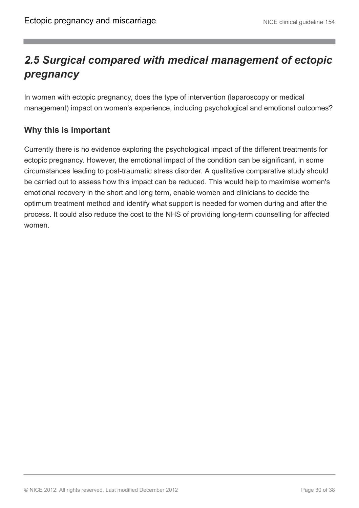# <span id="page-29-0"></span>*2.5 Surgical compared with medical management of ectopic pregnancy*

In women with ectopic pregnancy, does the type of intervention (laparoscopy or medical management) impact on women's experience, including psychological and emotional outcomes?

### **Why this is important**

Currently there is no evidence exploring the psychological impact of the different treatments for ectopic pregnancy. However, the emotional impact of the condition can be significant, in some circumstances leading to post-traumatic stress disorder. A qualitative comparative study should be carried out to assess how this impact can be reduced. This would help to maximise women's emotional recovery in the short and long term, enable women and clinicians to decide the optimum treatment method and identify what support is needed for women during and after the process. It could also reduce the cost to the NHS of providing long-term counselling for affected women.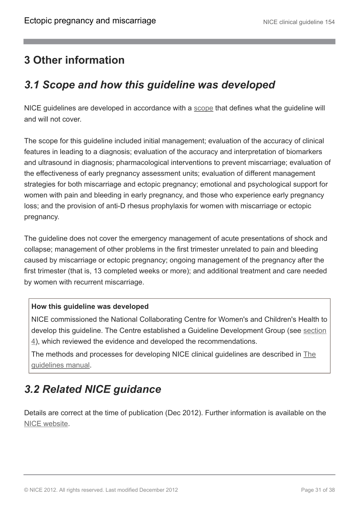### <span id="page-30-0"></span>**3 Other information**

# <span id="page-30-1"></span>*3.1 Scope and how this guideline was developed*

NICE guidelines are developed in accordance with a [scope](http://guidance.nice.org.uk/CG/Wave23/4/Scope/pdf/English) that defines what the guideline will and will not cover.

The scope for this guideline included initial management; evaluation of the accuracy of clinical features in leading to a diagnosis; evaluation of the accuracy and interpretation of biomarkers and ultrasound in diagnosis; pharmacological interventions to prevent miscarriage; evaluation of the effectiveness of early pregnancy assessment units; evaluation of different management strategies for both miscarriage and ectopic pregnancy; emotional and psychological support for women with pain and bleeding in early pregnancy, and those who experience early pregnancy loss; and the provision of anti-D rhesus prophylaxis for women with miscarriage or ectopic pregnancy.

The guideline does not cover the emergency management of acute presentations of shock and collapse; management of other problems in the first trimester unrelated to pain and bleeding caused by miscarriage or ectopic pregnancy; ongoing management of the pregnancy after the first trimester (that is, 13 completed weeks or more); and additional treatment and care needed by women with recurrent miscarriage.

#### **How this guideline was developed**

NICE commissioned the National Collaborating Centre for Women's and Children's Health to develop this guideline. The Centre established a Guideline Development Group (see [section](http://publications.nice.org.uk/ectopic-pregnancy-and-miscarriage-cg154/the-guideline-development-group-national-collaborating-centre-and-nice-project-team) [4\)](http://publications.nice.org.uk/ectopic-pregnancy-and-miscarriage-cg154/the-guideline-development-group-national-collaborating-centre-and-nice-project-team), which reviewed the evidence and developed the recommendations.

The methods and processes for developing NICE clinical guidelines are described in [The](http://www.nice.org.uk/aboutnice/howwework/developingniceclinicalguidelines/clinicalguidelinedevelopmentmethods/clinical_guideline_development_methods.jsp) [guidelines manual.](http://www.nice.org.uk/aboutnice/howwework/developingniceclinicalguidelines/clinicalguidelinedevelopmentmethods/clinical_guideline_development_methods.jsp)

# <span id="page-30-2"></span>*3.2 Related NICE guidance*

Details are correct at the time of publication (Dec 2012). Further information is available on the [NICE website.](http://www.nice.org.uk/)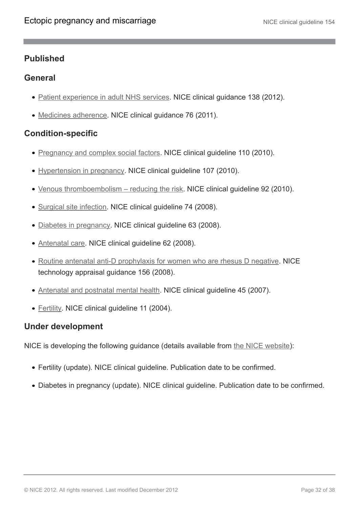#### **Published**

#### **General**

- [Patient experience in adult NHS services.](http://www.nice.org.uk/cg138) NICE clinical guidance 138 (2012).
- [Medicines adherence](http://www.nice.org.uk/cg76). NICE clinical guidance 76 (2011).

### **Condition-specific**

- [Pregnancy and complex social factors](http://guidance.nice.org.uk/CG110). NICE clinical guideline 110 (2010).
- [Hypertension in pregnancy](http://guidance.nice.org.uk/CG107). NICE clinical guideline 107 (2010).
- [Venous thromboembolism reducing the risk](http://guidance.nice.org.uk/CG92). NICE clinical guideline 92 (2010).
- [Surgical site infection.](http://guidance.nice.org.uk/CG74) NICE clinical guideline 74 (2008).
- [Diabetes in pregnancy.](http://guidance.nice.org.uk/CG63) NICE clinical guideline 63 (2008).
- [Antenatal care.](http://guidance.nice.org.uk/CG62) NICE clinical guideline 62 (2008).
- [Routine antenatal anti-D prophylaxis for women who are rhesus D negative](http://guidance.nice.org.uk/ta156). NICE technology appraisal guidance 156 (2008).
- [Antenatal and postnatal mental health.](http://guidance.nice.org.uk/CG45) NICE clinical guideline 45 (2007).
- [Fertility](http://guidance.nice.org.uk/CG11). NICE clinical guideline 11 (2004).

#### **Under development**

NICE is developing the following guidance (details available from [the NICE website](http://www.nice.org.uk/)):

- Fertility (update). NICE clinical guideline. Publication date to be confirmed.
- Diabetes in pregnancy (update). NICE clinical guideline. Publication date to be confirmed.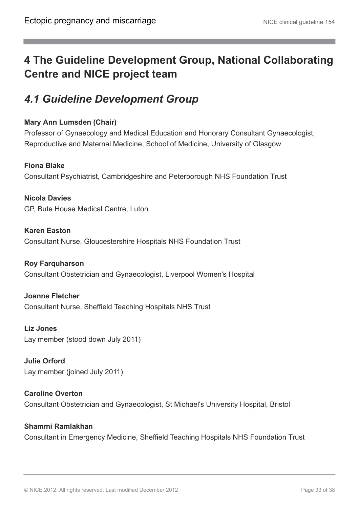# <span id="page-32-0"></span>**4 The Guideline Development Group, National Collaborating Centre and NICE project team**

## <span id="page-32-1"></span>*4.1 Guideline Development Group*

#### **Mary Ann Lumsden (Chair)**

Professor of Gynaecology and Medical Education and Honorary Consultant Gynaecologist, Reproductive and Maternal Medicine, School of Medicine, University of Glasgow

#### **Fiona Blake**

Consultant Psychiatrist, Cambridgeshire and Peterborough NHS Foundation Trust

**Nicola Davies** GP, Bute House Medical Centre, Luton

**Karen Easton** Consultant Nurse, Gloucestershire Hospitals NHS Foundation Trust

#### **Roy Farquharson**

Consultant Obstetrician and Gynaecologist, Liverpool Women's Hospital

**Joanne Fletcher** Consultant Nurse, Sheffield Teaching Hospitals NHS Trust

**Liz Jones** Lay member (stood down July 2011)

**Julie Orford** Lay member (joined July 2011)

**Caroline Overton** Consultant Obstetrician and Gynaecologist, St Michael's University Hospital, Bristol

#### **Shammi Ramlakhan**

Consultant in Emergency Medicine, Sheffield Teaching Hospitals NHS Foundation Trust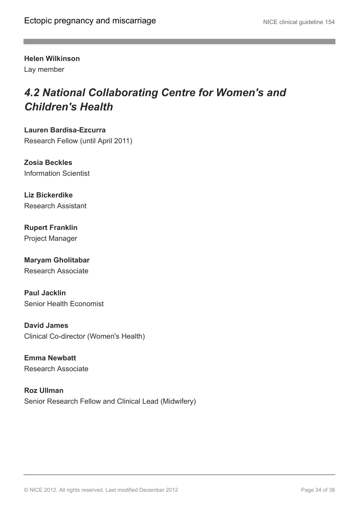**Helen Wilkinson**

Lay member

# <span id="page-33-0"></span>*4.2 National Collaborating Centre for Women's and Children's Health*

**Lauren Bardisa-Ezcurra** Research Fellow (until April 2011)

**Zosia Beckles** Information Scientist

**Liz Bickerdike** Research Assistant

**Rupert Franklin** Project Manager

**Maryam Gholitabar** Research Associate

**Paul Jacklin** Senior Health Economist

**David James** Clinical Co-director (Women's Health)

**Emma Newbatt** Research Associate

**Roz Ullman** Senior Research Fellow and Clinical Lead (Midwifery)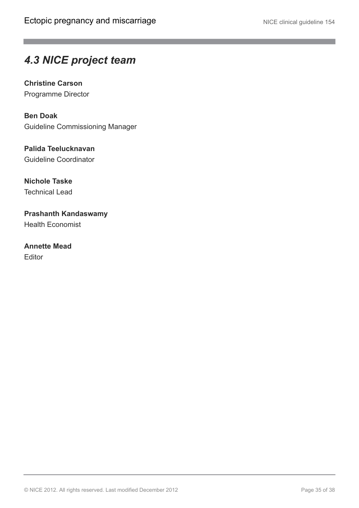## <span id="page-34-0"></span>*4.3 NICE project team*

**Christine Carson** Programme Director

**Ben Doak** Guideline Commissioning Manager

**Palida Teelucknavan** Guideline Coordinator

**Nichole Taske** Technical Lead

**Prashanth Kandaswamy** Health Economist

**Annette Mead** Editor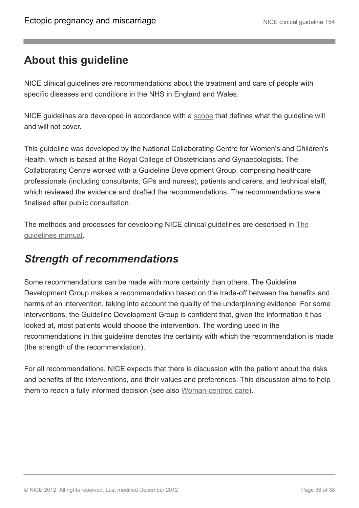## <span id="page-35-0"></span>**About this guideline**

NICE clinical guidelines are recommendations about the treatment and care of people with specific diseases and conditions in the NHS in England and Wales.

NICE guidelines are developed in accordance with a [scope](http://guidance.nice.org.uk/CG/Wave23/4/Scope/pdf/English) that defines what the guideline will and will not cover.

This guideline was developed by the National Collaborating Centre for Women's and Children's Health, which is based at the Royal College of Obstetricians and Gynaecologists. The Collaborating Centre worked with a Guideline Development Group, comprising healthcare professionals (including consultants, GPs and nurses), patients and carers, and technical staff, which reviewed the evidence and drafted the recommendations. The recommendations were finalised after public consultation.

The methods and processes for developing NICE clinical guidelines are described in [The](http://www.nice.org.uk/aboutnice/howwework/developingniceclinicalguidelines/clinicalguidelinedevelopmentmethods/clinical_guideline_development_methods.jsp) [guidelines manual.](http://www.nice.org.uk/aboutnice/howwework/developingniceclinicalguidelines/clinicalguidelinedevelopmentmethods/clinical_guideline_development_methods.jsp)

### <span id="page-35-1"></span>*Strength of recommendations*

Some recommendations can be made with more certainty than others. The Guideline Development Group makes a recommendation based on the trade-off between the benefits and harms of an intervention, taking into account the quality of the underpinning evidence. For some interventions, the Guideline Development Group is confident that, given the information it has looked at, most patients would choose the intervention. The wording used in the recommendations in this guideline denotes the certainty with which the recommendation is made (the strength of the recommendation).

For all recommendations, NICE expects that there is discussion with the patient about the risks and benefits of the interventions, and their values and preferences. This discussion aims to help them to reach a fully informed decision (see also [Woman-centred care\)](http://publications.nice.org.uk/ectopic-pregnancy-and-miscarriage-cg154/woman-centred-care).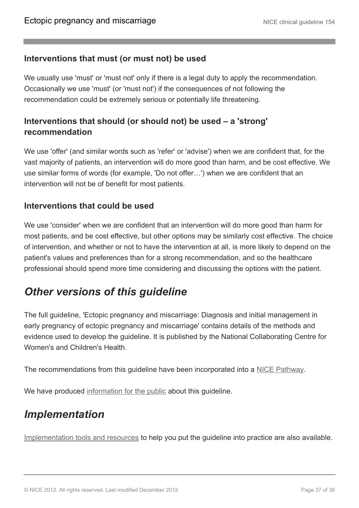#### **Interventions that must (or must not) be used**

We usually use 'must' or 'must not' only if there is a legal duty to apply the recommendation. Occasionally we use 'must' (or 'must not') if the consequences of not following the recommendation could be extremely serious or potentially life threatening.

### **Interventions that should (or should not) be used – a 'strong' recommendation**

We use 'offer' (and similar words such as 'refer' or 'advise') when we are confident that, for the vast majority of patients, an intervention will do more good than harm, and be cost effective. We use similar forms of words (for example, 'Do not offer…') when we are confident that an intervention will not be of benefit for most patients.

#### **Interventions that could be used**

We use 'consider' when we are confident that an intervention will do more good than harm for most patients, and be cost effective, but other options may be similarly cost effective. The choice of intervention, and whether or not to have the intervention at all, is more likely to depend on the patient's values and preferences than for a strong recommendation, and so the healthcare professional should spend more time considering and discussing the options with the patient.

### <span id="page-36-0"></span>*Other versions of this guideline*

The full guideline, 'Ectopic pregnancy and miscarriage: Diagnosis and initial management in early pregnancy of ectopic pregnancy and miscarriage' contains details of the methods and evidence used to develop the guideline. It is published by the National Collaborating Centre for Women's and Children's Health.

The recommendations from this guideline have been incorporated into a [NICE Pathway.](http://pathways.nice.org.uk/pathways/ectopic-pregnancy-and-miscarriage)

We have produced [information for the public](http://publications.nice.org.uk/IFP154) about this guideline.

# <span id="page-36-1"></span>*Implementation*

[Implementation tools and resources](http://guidance.nice.org.uk/CG154) to help you put the guideline into practice are also available.